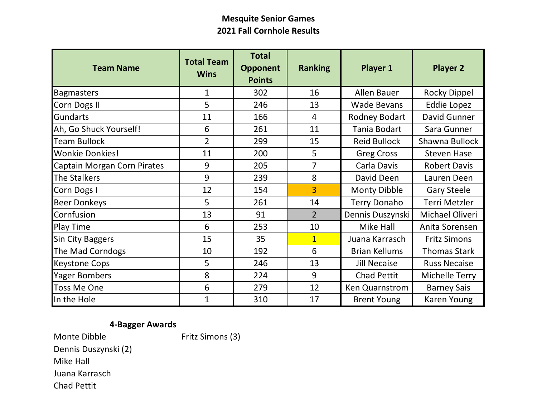## **Mesquite Senior Games 2021 Fall Cornhole Results**

| <b>Team Name</b>                   | <b>Total Team</b><br><b>Wins</b> | <b>Total</b><br><b>Opponent</b><br><b>Points</b> | <b>Ranking</b> | Player 1             | <b>Player 2</b>     |  |
|------------------------------------|----------------------------------|--------------------------------------------------|----------------|----------------------|---------------------|--|
| <b>Bagmasters</b>                  | 1                                | 302                                              | 16             | <b>Allen Bauer</b>   | <b>Rocky Dippel</b> |  |
| Corn Dogs II                       | 5                                | 246                                              | 13             | <b>Wade Bevans</b>   | Eddie Lopez         |  |
| <b>Gundarts</b>                    | 11                               | 166                                              | $\overline{4}$ | Rodney Bodart        | David Gunner        |  |
| Ah, Go Shuck Yourself!             | 6                                | 261                                              | 11             | Tania Bodart         | Sara Gunner         |  |
| <b>Team Bullock</b>                | $\overline{2}$                   | 299                                              | 15             | <b>Reid Bullock</b>  | Shawna Bullock      |  |
| <b>Wonkie Donkies!</b>             | 11                               | 200                                              | 5              | <b>Greg Cross</b>    | <b>Steven Hase</b>  |  |
| <b>Captain Morgan Corn Pirates</b> | 9                                | 205                                              | 7              | Carla Davis          | <b>Robert Davis</b> |  |
| <b>The Stalkers</b>                | 9                                | 239                                              | 8              | David Deen           | Lauren Deen         |  |
| Corn Dogs I                        | 12                               | 154                                              | 3              | Monty Dibble         | <b>Gary Steele</b>  |  |
| <b>Beer Donkeys</b>                | 5                                | 261                                              | 14             | <b>Terry Donaho</b>  | Terri Metzler       |  |
| Cornfusion                         | 13                               | 91                                               | $\overline{2}$ | Dennis Duszynski     | Michael Oliveri     |  |
| Play Time                          | 6                                | 253                                              | 10             | Mike Hall            | Anita Sorensen      |  |
| <b>Sin City Baggers</b>            | 15                               | 35                                               | $\overline{1}$ | Juana Karrasch       | <b>Fritz Simons</b> |  |
| The Mad Corndogs                   | 10                               | 192                                              | 6              | <b>Brian Kellums</b> | <b>Thomas Stark</b> |  |
| <b>Keystone Cops</b>               | 5                                | 246                                              | 13             | <b>Jill Necaise</b>  | <b>Russ Necaise</b> |  |
| <b>Yager Bombers</b>               | 8                                | 224                                              | 9              | <b>Chad Pettit</b>   | Michelle Terry      |  |
| <b>Toss Me One</b>                 | 6                                | 279                                              | 12             | Ken Quarnstrom       | <b>Barney Sais</b>  |  |
| In the Hole                        | 1                                | 310                                              | 17             | <b>Brent Young</b>   | Karen Young         |  |

## Monte Dibble Fritz Simons (3) Dennis Duszynski (2) Mike Hall Juana Karrasch **4-Bagger Awards**

Chad Pettit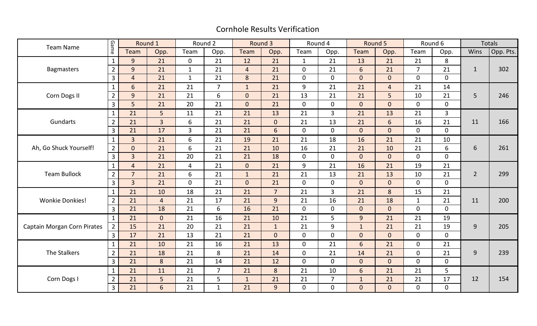## Cornhole Results Verification

| <b>Team Name</b>            | Game           | Round 1        |                | Round 2        |                | Round 3        |                | Round 4        |                | Round 5        |                | Round 6        |                | <b>Totals</b>    |           |
|-----------------------------|----------------|----------------|----------------|----------------|----------------|----------------|----------------|----------------|----------------|----------------|----------------|----------------|----------------|------------------|-----------|
|                             |                | Team           | Opp.           | Team           | Opp.           | Team           | Opp.           | Team           | Opp.           | Team           | Opp.           | Team           | Opp.           | Wins             | Opp. Pts. |
| <b>Bagmasters</b>           | $\mathbf{1}$   | 9              | 21             | $\mathbf 0$    | 21             | 12             | 21             | $\mathbf{1}$   | 21             | 13             | 21             | 21             | 8              | $\mathbf{1}$     | 302       |
|                             | $\overline{2}$ | $\overline{9}$ | 21             | $\mathbf{1}$   | 21             | $\overline{4}$ | 21             | $\overline{0}$ | 21             | 6              | 21             | $\overline{7}$ | 21             |                  |           |
|                             | $\overline{3}$ | $\overline{4}$ | 21             | $\mathbf{1}$   | 21             | 8              | 21             | $\mathbf{0}$   | $\Omega$       | $\overline{0}$ | $\overline{0}$ | $\overline{0}$ | $\overline{0}$ |                  |           |
| Corn Dogs II                | $\mathbf{1}$   | 6              | 21             | 21             | $\overline{7}$ | $\mathbf{1}$   | 21             | 9              | 21             | 21             | $\overline{4}$ | 21             | 14             | 5                | 246       |
|                             | $\overline{2}$ | 9 <sup>°</sup> | 21             | 21             | 6              | $\overline{0}$ | 21             | 13             | 21             | 21             | 5              | 10             | 21             |                  |           |
|                             | $\overline{3}$ | 5 <sub>5</sub> | 21             | 20             | 21             | $\overline{0}$ | 21             | $\mathbf 0$    | $\mathbf 0$    | $\overline{0}$ | $\overline{0}$ | $\mathbf 0$    | 0              |                  |           |
|                             | $\mathbf{1}$   | 21             | 5              | 11             | 21             | 21             | 13             | 21             | $\overline{3}$ | 21             | 13             | 21             | 3              |                  | 166       |
| Gundarts                    | $\overline{2}$ | 21             | $\overline{3}$ | 6              | 21             | 21             | $\overline{0}$ | 21             | 13             | 21             | $6\phantom{1}$ | 16             | 21             | 11               |           |
|                             | $\overline{3}$ | 21             | 17             | $\overline{3}$ | 21             | 21             | 6              | $\mathbf{0}$   | $\mathbf 0$    | $\overline{0}$ | $\overline{0}$ | $\overline{0}$ | $\overline{0}$ |                  |           |
| Ah, Go Shuck Yourself!      | $\mathbf{1}$   | $\overline{3}$ | 21             | 6              | 21             | 19             | 21             | 21             | 18             | 16             | 21             | 21             | 10             | 6                | 261       |
|                             | $\overline{2}$ | $\overline{0}$ | 21             | 6              | 21             | 21             | 10             | 16             | 21             | 21             | 10             | 21             | 6              |                  |           |
|                             | $\overline{3}$ | $\overline{3}$ | 21             | 20             | 21             | 21             | 18             | $\mathbf{0}$   | $\mathbf 0$    | $\overline{0}$ | $\overline{0}$ | $\overline{0}$ | $\overline{0}$ |                  |           |
| <b>Team Bullock</b>         | $\mathbf{1}$   | $\overline{4}$ | 21             | $\overline{4}$ | 21             | $\overline{0}$ | 21             | 9              | 21             | 16             | 21             | 19             | 21             | $\overline{2}$   | 299       |
|                             | $\overline{2}$ | $\overline{7}$ | 21             | 6              | 21             | $\mathbf{1}$   | 21             | 21             | 13             | 21             | 13             | 10             | 21             |                  |           |
|                             | $\overline{3}$ | $\overline{3}$ | 21             | $\mathbf 0$    | 21             | $\overline{0}$ | 21             | $\overline{0}$ | $\mathbf 0$    | $\overline{0}$ | $\overline{0}$ | $\overline{0}$ | $\overline{0}$ |                  |           |
|                             | $\mathbf{1}$   | 21             | 10             | 18             | 21             | 21             | $\overline{7}$ | 21             | $\overline{3}$ | 21             | 8              | 15             | 21             | 11               | 200       |
| <b>Wonkie Donkies!</b>      | $\overline{2}$ | 21             | $\overline{4}$ | 21             | 17             | 21             | 9              | 21             | 16             | 21             | 18             | $\mathbf{1}$   | 21             |                  |           |
|                             | $\overline{3}$ | 21             | 18             | 21             | 6              | 16             | 21             | $\mathbf 0$    | 0              | $\overline{0}$ | $\mathbf 0$    | $\overline{0}$ | 0              |                  |           |
| Captain Morgan Corn Pirates | $\mathbf{1}$   | 21             | $\overline{0}$ | 21             | 16             | 21             | 10             | 21             | 5              | 9              | 21             | 21             | 19             | $9\,$            | 205       |
|                             | $\overline{2}$ | 15             | 21             | 20             | 21             | 21             | $\mathbf{1}$   | 21             | 9              | $\mathbf{1}$   | 21             | 21             | 19             |                  |           |
|                             | $\overline{3}$ | 17             | 21             | 13             | 21             | 21             | $\overline{0}$ | $\mathbf 0$    | $\mathbf 0$    | $\overline{0}$ | $\overline{0}$ | $\overline{0}$ | $\overline{0}$ |                  |           |
| The Stalkers                | $\mathbf{1}$   | 21             | 10             | 21             | 16             | 21             | 13             | $\overline{0}$ | 21             | 6              | 21             | $\overline{0}$ | 21             | $\boldsymbol{9}$ | 239       |
|                             | $\overline{2}$ | 21             | 18             | 21             | 8              | 21             | 14             | $\Omega$       | 21             | 14             | 21             | $\Omega$       | 21             |                  |           |
|                             | $\overline{3}$ | 21             | 8              | 21             | 14             | 21             | 12             | $\mathbf 0$    | $\Omega$       | $\overline{0}$ | $\overline{0}$ | $\overline{0}$ | $\overline{0}$ |                  |           |
| Corn Dogs I                 | $\mathbf{1}$   | 21             | 11             | 21             | $\overline{7}$ | 21             | 8              | 21             | 10             | 6              | 21             | 21             | 5              |                  | 154       |
|                             | $\overline{2}$ | 21             | 5              | 21             | 5              | $\mathbf{1}$   | 21             | 21             | $\overline{7}$ | $\mathbf{1}$   | 21             | 21             | 17             | 12               |           |
|                             | $\overline{3}$ | 21             | $6\phantom{1}$ | 21             | $\mathbf{1}$   | 21             | 9              | $\mathbf 0$    | $\overline{0}$ | $\overline{0}$ | $\overline{0}$ | 0              | 0              |                  |           |